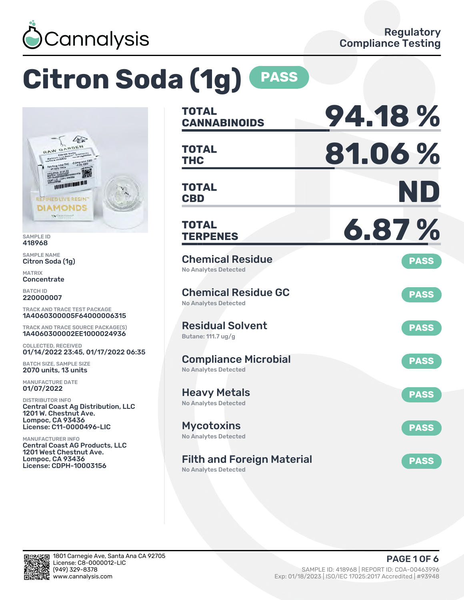

# **Citron Soda (1g) PASS**



SAMPLE ID 418968

SAMPLE NAME Citron Soda (1g)

MATRIX Concentrate

BATCH ID 220000007

TRACK AND TRACE TEST PACKAGE 1A4060300005F64000006315

TRACK AND TRACE SOURCE PACKAGE(S) 1A4060300002EE1000024936

COLLECTED, RECEIVED 01/14/2022 23:45, 01/17/2022 06:35

BATCH SIZE, SAMPLE SIZE 2070 units, 13 units

MANUFACTURE DATE 01/07/2022

DISTRIBUTOR INFO Central Coast Ag Distribution, LLC 1201 W. Chestnut Ave. Lompoc, CA 93436 License: C11-0000496-LIC

MANUFACTURER INFO Central Coast AG Products, LLC 1201 West Chestnut Ave. Lompoc, CA 93436 License: CDPH-10003156

| <b>TOTAL</b><br><b>CANNABINOIDS</b>                        | 94.18%      |
|------------------------------------------------------------|-------------|
| <b>TOTAL</b><br><b>THC</b>                                 | 81.06%      |
| TOTAL<br><b>CBD</b>                                        | ND          |
| <b>TOTAL</b><br><b>TERPENES</b>                            | 6.87%       |
| <b>Chemical Residue</b><br><b>No Analytes Detected</b>     | <b>PASS</b> |
| <b>Chemical Residue GC</b><br><b>No Analytes Detected</b>  | <b>PASS</b> |
| <b>Residual Solvent</b><br>Butane: 111.7 ug/g              | <b>PASS</b> |
| <b>Compliance Microbial</b><br><b>No Analytes Detected</b> | <b>PASS</b> |
| <b>Heavy Metals</b><br>No Analytes Detected                | <b>PASS</b> |
| <b>Mycotoxins</b><br><b>No Analytes Detected</b>           | <b>PASS</b> |
| <b>Filth and Foreign Material</b>                          | <b>PASS</b> |

No Analytes Detected

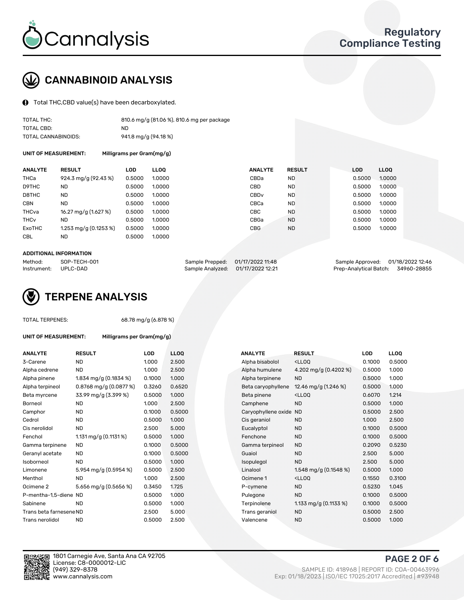

## CANNABINOID ANALYSIS

Total THC,CBD value(s) have been decarboxylated.

| TOTAL THC:          | 810.6 mg/g (81.06 %), 810.6 mg per package |
|---------------------|--------------------------------------------|
| TOTAL CBD:          | ND.                                        |
| TOTAL CANNABINOIDS: | 941.8 mg/g (94.18 %)                       |

UNIT OF MEASUREMENT: Milligrams per Gram(mg/g)

| <b>ANALYTE</b>         | <b>RESULT</b>                           | LOD    | <b>LLOO</b> | <b>ANALYTE</b>   | <b>RESULT</b> | <b>LOD</b> | <b>LLOO</b> |
|------------------------|-----------------------------------------|--------|-------------|------------------|---------------|------------|-------------|
| THCa                   | 924.3 mg/g (92.43 %)                    | 0.5000 | 1.0000      | CBDa             | ND            | 0.5000     | 1.0000      |
| D9THC                  | <b>ND</b>                               | 0.5000 | 1.0000      | CBD              | <b>ND</b>     | 0.5000     | 1.0000      |
| D8THC                  | <b>ND</b>                               | 0.5000 | 1.0000      | CBD <sub>v</sub> | <b>ND</b>     | 0.5000     | 1.0000      |
| <b>CBN</b>             | <b>ND</b>                               | 0.5000 | 1.0000      | CBCa             | <b>ND</b>     | 0.5000     | 1.0000      |
| THCva                  | 16.27 mg/g (1.627 %)                    | 0.5000 | 1.0000      | CBC              | <b>ND</b>     | 0.5000     | 1.0000      |
| <b>THC<sub>v</sub></b> | ND                                      | 0.5000 | 1.0000      | CBGa             | <b>ND</b>     | 0.5000     | 1.0000      |
| ExoTHC                 | $1.253 \text{ mg/q} (0.1253 \text{ %})$ | 0.5000 | 1.0000      | <b>CBG</b>       | <b>ND</b>     | 0.5000     | 1.0000      |
| <b>CBL</b>             | <b>ND</b>                               | 0.5000 | 1.0000      |                  |               |            |             |

#### ADDITIONAL INFORMATION

| Method:              | SOP-TECH-001 | Sample Prepped: 01/17/2022 11:48  | Sample Approved: 01/18/2022 12:46  |  |
|----------------------|--------------|-----------------------------------|------------------------------------|--|
| Instrument: UPLC-DAD |              | Sample Analyzed: 01/17/2022 12:21 | Prep-Analytical Batch: 34960-28855 |  |



TOTAL TERPENES: 68.78 mg/g (6.878 %)

| UNIT OF MEASUREMENT:    | Milligrams per Gram(mg/g) |        |                  |                     |                                                    |            |             |
|-------------------------|---------------------------|--------|------------------|---------------------|----------------------------------------------------|------------|-------------|
| <b>ANALYTE</b>          | <b>RESULT</b>             | LOD    | LL <sub>OO</sub> | <b>ANALYTE</b>      | <b>RESULT</b>                                      | <b>LOD</b> | <b>LLOQ</b> |
| 3-Carene                | <b>ND</b>                 | 1.000  | 2.500            | Alpha bisabolol     | <ll0q< td=""><td>0.1000</td><td>0.500</td></ll0q<> | 0.1000     | 0.500       |
| Alpha cedrene           | <b>ND</b>                 | 1.000  | 2.500            | Alpha humulene      | 4.202 mg/g (0.4202 %)                              | 0.5000     | 1.000       |
| Alpha pinene            | 1.834 mg/g (0.1834 %)     | 0.1000 | 1.000            | Alpha terpinene     | <b>ND</b>                                          | 0.5000     | 1.000       |
| Alpha terpineol         | $0.8768$ mg/g $(0.0877%)$ | 0.3260 | 0.6520           | Beta caryophyllene  | 12.46 mg/g $(1.246\%)$                             | 0.5000     | 1.000       |
| Beta myrcene            | 33.99 mg/g (3.399 %)      | 0.5000 | 1.000            | Beta pinene         | <lloq< td=""><td>0.6070</td><td>1.214</td></lloq<> | 0.6070     | 1.214       |
| Borneol                 | ND                        | 1.000  | 2.500            | Camphene            | <b>ND</b>                                          | 0.5000     | 1.000       |
| Camphor                 | <b>ND</b>                 | 0.1000 | 0.5000           | Caryophyllene oxide | <b>ND</b>                                          | 0.5000     | 2.500       |
| Cedrol                  | <b>ND</b>                 | 0.5000 | 1.000            | Cis geraniol        | <b>ND</b>                                          | 1.000      | 2.500       |
| Cis nerolidol           | <b>ND</b>                 | 2.500  | 5.000            | Eucalyptol          | <b>ND</b>                                          | 0.1000     | 0.500       |
| Fenchol                 | 1.131 mg/g $(0.1131\%)$   | 0.5000 | 1.000            | Fenchone            | <b>ND</b>                                          | 0.1000     | 0.500       |
| Gamma terpinene         | <b>ND</b>                 | 0.1000 | 0.5000           | Gamma terpineol     | <b>ND</b>                                          | 0.2090     | 0.523       |
| Geranyl acetate         | <b>ND</b>                 | 0.1000 | 0.5000           | Guaiol              | <b>ND</b>                                          | 2.500      | 5.000       |
| Isoborneol              | <b>ND</b>                 | 0.5000 | 1.000            | Isopulegol          | <b>ND</b>                                          | 2.500      | 5.000       |
| Limonene                | 5.954 mg/g $(0.5954\%)$   | 0.5000 | 2.500            | Linalool            | 1.548 mg/g $(0.1548\%)$                            | 0.5000     | 1.000       |
| Menthol                 | <b>ND</b>                 | 1.000  | 2.500            | Ocimene 1           | <ll0q< td=""><td>0.1550</td><td>0.310</td></ll0q<> | 0.1550     | 0.310       |
| Ocimene 2               | 5.656 mg/g $(0.5656%)$    | 0.3450 | 1.725            | P-cymene            | <b>ND</b>                                          | 0.5230     | 1.045       |
| P-mentha-1,5-diene ND   |                           | 0.5000 | 1.000            | Pulegone            | <b>ND</b>                                          | 0.1000     | 0.500       |
| Sabinene                | <b>ND</b>                 | 0.5000 | 1.000            | Terpinolene         | 1.133 mg/g $(0.1133\%)$                            | 0.1000     | 0.500       |
| Trans beta farnesene ND |                           | 2.500  | 5.000            | Trans geraniol      | <b>ND</b>                                          | 0.5000     | 2.500       |
| Trans nerolidol         | <b>ND</b>                 | 0.5000 | 2.500            | Valencene           | <b>ND</b>                                          | 0.5000     | 1.000       |

| ANALYTE                 | <b>RESULT</b>             | <b>LOD</b> | <b>LLOQ</b> | <b>ANALYTE</b>      | <b>RESULT</b>                                       | <b>LOD</b> | <b>LLOQ</b> |
|-------------------------|---------------------------|------------|-------------|---------------------|-----------------------------------------------------|------------|-------------|
| 3-Carene                | <b>ND</b>                 | 1.000      | 2.500       | Alpha bisabolol     | <lloq< td=""><td>0.1000</td><td>0.5000</td></lloq<> | 0.1000     | 0.5000      |
| Alpha cedrene           | <b>ND</b>                 | 1.000      | 2.500       | Alpha humulene      | 4.202 mg/g $(0.4202 \%)$                            | 0.5000     | 1.000       |
| Alpha pinene            | 1.834 mg/g (0.1834 %)     | 0.1000     | 1.000       | Alpha terpinene     | <b>ND</b>                                           | 0.5000     | 1.000       |
| Alpha terpineol         | $0.8768$ mg/g $(0.0877%)$ | 0.3260     | 0.6520      | Beta caryophyllene  | 12.46 mg/g $(1.246\%)$                              | 0.5000     | 1.000       |
| Beta myrcene            | 33.99 mg/g (3.399 %)      | 0.5000     | 1.000       | Beta pinene         | <lloq< td=""><td>0.6070</td><td>1.214</td></lloq<>  | 0.6070     | 1.214       |
| Borneol                 | <b>ND</b>                 | 1.000      | 2.500       | Camphene            | <b>ND</b>                                           | 0.5000     | 1.000       |
| Camphor                 | <b>ND</b>                 | 0.1000     | 0.5000      | Caryophyllene oxide | ND                                                  | 0.5000     | 2.500       |
| Cedrol                  | <b>ND</b>                 | 0.5000     | 1.000       | Cis geraniol        | <b>ND</b>                                           | 1.000      | 2.500       |
| Cis nerolidol           | <b>ND</b>                 | 2.500      | 5.000       | Eucalyptol          | <b>ND</b>                                           | 0.1000     | 0.5000      |
| Fenchol                 | 1.131 mg/g $(0.1131\%)$   | 0.5000     | 1.000       | Fenchone            | <b>ND</b>                                           | 0.1000     | 0.5000      |
| Gamma terpinene         | ND.                       | 0.1000     | 0.5000      | Gamma terpineol     | <b>ND</b>                                           | 0.2090     | 0.5230      |
| Geranyl acetate         | ND.                       | 0.1000     | 0.5000      | Guaiol              | <b>ND</b>                                           | 2.500      | 5.000       |
| Isoborneol              | <b>ND</b>                 | 0.5000     | 1.000       | Isopulegol          | <b>ND</b>                                           | 2.500      | 5.000       |
| Limonene                | 5.954 mg/g (0.5954 %)     | 0.5000     | 2.500       | Linalool            | 1.548 mg/g $(0.1548\%)$                             | 0.5000     | 1.000       |
| Menthol                 | <b>ND</b>                 | 1.000      | 2.500       | Ocimene 1           | <lloq< td=""><td>0.1550</td><td>0.3100</td></lloq<> | 0.1550     | 0.3100      |
| Ocimene 2               | 5.656 mg/g (0.5656 %)     | 0.3450     | 1.725       | P-cymene            | <b>ND</b>                                           | 0.5230     | 1.045       |
| P-mentha-1,5-diene ND   |                           | 0.5000     | 1.000       | Pulegone            | <b>ND</b>                                           | 0.1000     | 0.5000      |
| Sabinene                | <b>ND</b>                 | 0.5000     | 1.000       | Terpinolene         | 1.133 mg/g $(0.1133\%)$                             | 0.1000     | 0.5000      |
| Trans beta farnesene ND |                           | 2.500      | 5.000       | Trans geraniol      | <b>ND</b>                                           | 0.5000     | 2.500       |
| Trans nerolidol         | <b>ND</b>                 | 0.5000     | 2.500       | Valencene           | <b>ND</b>                                           | 0.5000     | 1.000       |



PAGE 2 OF 6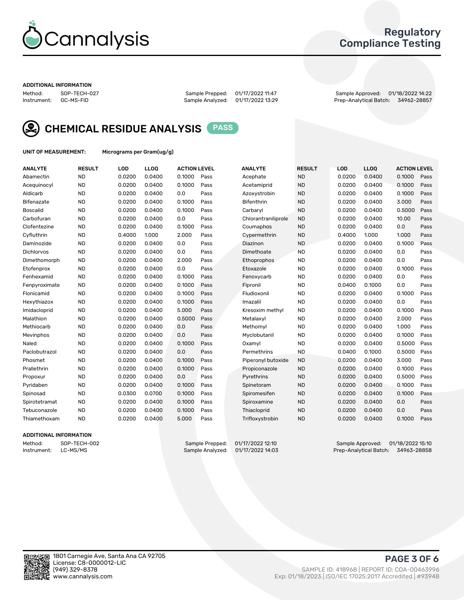

## Regulatory Compliance Testing

#### ADDITIONAL INFORMATION

Method: SOP-TECH-027 Sample Prepped: 01/17/2022 11:47 Sample Approved: 01/18/2022 14:22 Prep-Analytical Batch: 34962-28857



CHEMICAL RESIDUE ANALYSIS PASS

UNIT OF MEASUREMENT: Micrograms per Gram(ug/g)

| <b>ANALYTE</b>    | <b>RESULT</b> | LOD    | <b>LLOQ</b> | <b>ACTION LEVEL</b> |      | <b>ANALYTE</b>      | <b>RESULT</b> | LOD    | <b>LLOQ</b> | <b>ACTION LEVEL</b> |      |
|-------------------|---------------|--------|-------------|---------------------|------|---------------------|---------------|--------|-------------|---------------------|------|
| Abamectin         | <b>ND</b>     | 0.0200 | 0.0400      | 0.1000              | Pass | Acephate            | <b>ND</b>     | 0.0200 | 0.0400      | 0.1000              | Pass |
| Acequinocyl       | <b>ND</b>     | 0.0200 | 0.0400      | 0.1000              | Pass | Acetamiprid         | <b>ND</b>     | 0.0200 | 0.0400      | 0.1000              | Pass |
| Aldicarb          | <b>ND</b>     | 0.0200 | 0.0400      | 0.0                 | Pass | Azoxystrobin        | <b>ND</b>     | 0.0200 | 0.0400      | 0.1000              | Pass |
| Bifenazate        | <b>ND</b>     | 0.0200 | 0.0400      | 0.1000              | Pass | <b>Bifenthrin</b>   | <b>ND</b>     | 0.0200 | 0.0400      | 3.000               | Pass |
| <b>Boscalid</b>   | <b>ND</b>     | 0.0200 | 0.0400      | 0.1000              | Pass | Carbarvl            | <b>ND</b>     | 0.0200 | 0.0400      | 0.5000              | Pass |
| Carbofuran        | <b>ND</b>     | 0.0200 | 0.0400      | 0.0                 | Pass | Chlorantraniliprole | <b>ND</b>     | 0.0200 | 0.0400      | 10.00               | Pass |
| Clofentezine      | <b>ND</b>     | 0.0200 | 0.0400      | 0.1000              | Pass | Coumaphos           | <b>ND</b>     | 0.0200 | 0.0400      | 0.0                 | Pass |
| Cyfluthrin        | <b>ND</b>     | 0.4000 | 1.000       | 2.000               | Pass | Cypermethrin        | <b>ND</b>     | 0.4000 | 1.000       | 1.000               | Pass |
| Daminozide        | <b>ND</b>     | 0.0200 | 0.0400      | 0.0                 | Pass | Diazinon            | <b>ND</b>     | 0.0200 | 0.0400      | 0.1000              | Pass |
| <b>Dichlorvos</b> | <b>ND</b>     | 0.0200 | 0.0400      | 0.0                 | Pass | Dimethoate          | <b>ND</b>     | 0.0200 | 0.0400      | 0.0                 | Pass |
| Dimethomorph      | <b>ND</b>     | 0.0200 | 0.0400      | 2.000               | Pass | <b>Ethoprophos</b>  | <b>ND</b>     | 0.0200 | 0.0400      | 0.0                 | Pass |
| Etofenprox        | <b>ND</b>     | 0.0200 | 0.0400      | 0.0                 | Pass | Etoxazole           | <b>ND</b>     | 0.0200 | 0.0400      | 0.1000              | Pass |
| Fenhexamid        | <b>ND</b>     | 0.0200 | 0.0400      | 0.1000              | Pass | Fenoxycarb          | <b>ND</b>     | 0.0200 | 0.0400      | 0.0                 | Pass |
| Fenpyroximate     | <b>ND</b>     | 0.0200 | 0.0400      | 0.1000              | Pass | Fipronil            | <b>ND</b>     | 0.0400 | 0.1000      | 0.0                 | Pass |
| Flonicamid        | <b>ND</b>     | 0.0200 | 0.0400      | 0.1000              | Pass | Fludioxonil         | <b>ND</b>     | 0.0200 | 0.0400      | 0.1000              | Pass |
| Hexythiazox       | <b>ND</b>     | 0.0200 | 0.0400      | 0.1000              | Pass | Imazalil            | <b>ND</b>     | 0.0200 | 0.0400      | 0.0                 | Pass |
| Imidacloprid      | <b>ND</b>     | 0.0200 | 0.0400      | 5.000               | Pass | Kresoxim methyl     | <b>ND</b>     | 0.0200 | 0.0400      | 0.1000              | Pass |
| Malathion         | <b>ND</b>     | 0.0200 | 0.0400      | 0.5000              | Pass | Metalaxyl           | <b>ND</b>     | 0.0200 | 0.0400      | 2.000               | Pass |
| Methiocarb        | <b>ND</b>     | 0.0200 | 0.0400      | 0.0                 | Pass | Methomyl            | <b>ND</b>     | 0.0200 | 0.0400      | 1.000               | Pass |
| Mevinphos         | <b>ND</b>     | 0.0200 | 0.0400      | 0.0                 | Pass | Myclobutanil        | <b>ND</b>     | 0.0200 | 0.0400      | 0.1000              | Pass |
| Naled             | <b>ND</b>     | 0.0200 | 0.0400      | 0.1000              | Pass | Oxamyl              | <b>ND</b>     | 0.0200 | 0.0400      | 0.5000              | Pass |
| Paclobutrazol     | <b>ND</b>     | 0.0200 | 0.0400      | 0.0                 | Pass | Permethrins         | <b>ND</b>     | 0.0400 | 0.1000      | 0.5000              | Pass |
| Phosmet           | <b>ND</b>     | 0.0200 | 0.0400      | 0.1000              | Pass | Piperonyl butoxide  | <b>ND</b>     | 0.0200 | 0.0400      | 3.000               | Pass |
| Prallethrin       | <b>ND</b>     | 0.0200 | 0.0400      | 0.1000              | Pass | Propiconazole       | <b>ND</b>     | 0.0200 | 0.0400      | 0.1000              | Pass |
| Propoxur          | <b>ND</b>     | 0.0200 | 0.0400      | 0.0                 | Pass | Pyrethrins          | <b>ND</b>     | 0.0200 | 0.0400      | 0.5000              | Pass |
| Pyridaben         | <b>ND</b>     | 0.0200 | 0.0400      | 0.1000              | Pass | Spinetoram          | <b>ND</b>     | 0.0200 | 0.0400      | 0.1000              | Pass |
| Spinosad          | <b>ND</b>     | 0.0300 | 0.0700      | 0.1000              | Pass | Spiromesifen        | <b>ND</b>     | 0.0200 | 0.0400      | 0.1000              | Pass |
| Spirotetramat     | <b>ND</b>     | 0.0200 | 0.0400      | 0.1000              | Pass | Spiroxamine         | <b>ND</b>     | 0.0200 | 0.0400      | 0.0                 | Pass |
| Tebuconazole      | <b>ND</b>     | 0.0200 | 0.0400      | 0.1000              | Pass | Thiacloprid         | <b>ND</b>     | 0.0200 | 0.0400      | 0.0                 | Pass |
| Thiamethoxam      | <b>ND</b>     | 0.0200 | 0.0400      | 5.000               | Pass | Trifloxystrobin     | <b>ND</b>     | 0.0200 | 0.0400      | 0.1000              | Pass |
|                   |               |        |             |                     |      |                     |               |        |             |                     |      |

### ADDITIONAL INFORMATION

Method: SOP-TECH-002 Sample Prepped: 01/17/2022 12:10 Sample Approved: 01/18/2022 15:10<br>Instrument: LC-MS/MS Sample Analyzed: 01/17/2022 14:03 Prep-Analytical Batch: 34963-28858 Prep-Analytical Batch: 34963-28858

PAGE 3 OF 6

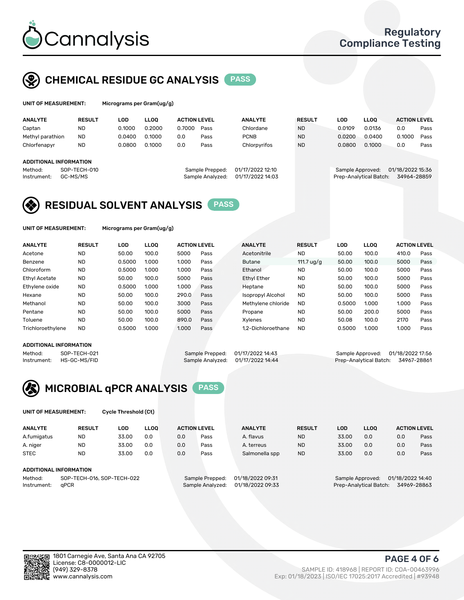

## CHEMICAL RESIDUE GC ANALYSIS PASS

| UNIT OF MEASUREMENT: | Microgran |
|----------------------|-----------|
|                      |           |

ns per Gram(ug/g)

| <b>ANALYTE</b>   | <b>RESULT</b>          | LOD    | <b>LLOO</b> | <b>ACTION LEVEL</b> |                  | <b>ANALYTE</b>   | <b>RESULT</b>    | LOD    | <b>LLOO</b>            | <b>ACTION LEVEL</b> |      |
|------------------|------------------------|--------|-------------|---------------------|------------------|------------------|------------------|--------|------------------------|---------------------|------|
| Captan           | <b>ND</b>              | 0.1000 | 0.2000      | 0.7000              | Pass             | Chlordane        | <b>ND</b>        | 0.0109 | 0.0136                 | 0.0                 | Pass |
| Methyl parathion | <b>ND</b>              | 0.0400 | 0.1000      | 0.0                 | Pass             | <b>PCNB</b>      | <b>ND</b>        | 0.0200 | 0.0400                 | 0.1000              | Pass |
| Chlorfenapyr     | <b>ND</b>              | 0.0800 | 0.1000      | 0.0                 | Pass             | Chlorpyrifos     | <b>ND</b>        | 0.0800 | 0.1000                 | 0.0                 | Pass |
|                  | ADDITIONAL INFORMATION |        |             |                     |                  |                  |                  |        |                        |                     |      |
| Method:          | SOP-TECH-010           |        |             | Sample Prepped:     | 01/17/2022 12:10 |                  | Sample Approved: |        | 01/18/2022 15:36       |                     |      |
| Instrument:      | GC-MS/MS               |        |             |                     | Sample Analyzed: | 01/17/2022 14:03 |                  |        | Prep-Analytical Batch: | 34964-28859         |      |

## RESIDUAL SOLVENT ANALYSIS PASS

UNIT OF MEASUREMENT: Micrograms per Gram(ug/g)

| <b>ANALYTE</b>       | <b>RESULT</b> | <b>LOD</b> | <b>LLOO</b> | <b>ACTION LEVEL</b> |      | <b>ANALYTE</b>     | <b>RESULT</b> | <b>LOD</b> | <b>LLOO</b> | <b>ACTION LEVEL</b> |      |
|----------------------|---------------|------------|-------------|---------------------|------|--------------------|---------------|------------|-------------|---------------------|------|
| Acetone              | <b>ND</b>     | 50.00      | 100.0       | 5000                | Pass | Acetonitrile       | <b>ND</b>     | 50.00      | 100.0       | 410.0               | Pass |
| Benzene              | <b>ND</b>     | 0.5000     | 1.000       | 1.000               | Pass | <b>Butane</b>      | 111.7 ug/g    | 50.00      | 100.0       | 5000                | Pass |
| Chloroform           | <b>ND</b>     | 0.5000     | 1.000       | 1.000               | Pass | Ethanol            | <b>ND</b>     | 50.00      | 100.0       | 5000                | Pass |
| <b>Ethyl Acetate</b> | <b>ND</b>     | 50.00      | 100.0       | 5000                | Pass | <b>Ethyl Ether</b> | <b>ND</b>     | 50.00      | 100.0       | 5000                | Pass |
| Ethylene oxide       | <b>ND</b>     | 0.5000     | 1.000       | 1.000               | Pass | Heptane            | <b>ND</b>     | 50.00      | 100.0       | 5000                | Pass |
| Hexane               | <b>ND</b>     | 50.00      | 100.0       | 290.0               | Pass | Isopropyl Alcohol  | <b>ND</b>     | 50.00      | 100.0       | 5000                | Pass |
| Methanol             | <b>ND</b>     | 50.00      | 100.0       | 3000                | Pass | Methylene chloride | <b>ND</b>     | 0.5000     | 1.000       | 1.000               | Pass |
| Pentane              | <b>ND</b>     | 50.00      | 100.0       | 5000                | Pass | Propane            | <b>ND</b>     | 50.00      | 200.0       | 5000                | Pass |
| Toluene              | <b>ND</b>     | 50.00      | 100.0       | 890.0               | Pass | Xvlenes            | <b>ND</b>     | 50.08      | 100.0       | 2170                | Pass |
| Trichloroethylene    | <b>ND</b>     | 0.5000     | 1.000       | 1.000               | Pass | 1.2-Dichloroethane | <b>ND</b>     | 0.5000     | 1.000       | 1.000               | Pass |

#### ADDITIONAL INFORMATION

| 01/17/2022 14:43 |  |
|------------------|--|
| 01/17/2022 14:44 |  |

Method: SOP-TECH-021 Sample Prepped: 01/17/2022 14:43 Sample Approved: 01/18/2022 17:56<br>Instrument: HS-GC-MS/FID Sample Analyzed: 01/17/2022 14:44 Prep-Analytical Batch: 34967-28861 Prep-Analytical Batch: 34967-28861



UNIT OF MEASUREMENT: Cycle Threshold (Ct)

| <b>ANALYTE</b>                        | <b>RESULT</b>          | LOD   | <b>LLOO</b> | <b>ACTION LEVEL</b> |                 | <b>ANALYTE</b>   | <b>RESULT</b> | LOD   | LL <sub>00</sub> |                  | <b>ACTION LEVEL</b> |
|---------------------------------------|------------------------|-------|-------------|---------------------|-----------------|------------------|---------------|-------|------------------|------------------|---------------------|
| A.fumigatus                           | <b>ND</b>              | 33.00 | 0.0         | 0.0                 | Pass            | A. flavus        | <b>ND</b>     | 33.00 | 0.0              | 0.0              | Pass                |
| A. niger                              | <b>ND</b>              | 33.00 | 0.0         | 0.0                 | Pass            | A. terreus       | <b>ND</b>     | 33.00 | 0.0              | 0.0              | Pass                |
| <b>STEC</b>                           | <b>ND</b>              | 33.00 | 0.0         | 0.0                 | Pass            | Salmonella spp   | <b>ND</b>     | 33.00 | 0.0              | 0.0              | Pass                |
|                                       | ADDITIONAL INFORMATION |       |             |                     |                 |                  |               |       |                  |                  |                     |
| Method:<br>SOP-TECH-016, SOP-TECH-022 |                        |       |             |                     | Sample Prepped: | 01/18/2022 09:31 |               |       | Sample Approved: | 01/18/2022 14:40 |                     |

Instrument: qPCR Sample Analyzed: 01/18/2022 09:33 Prep-Analytical Batch: 34969-28863

PAGE 4 OF 6

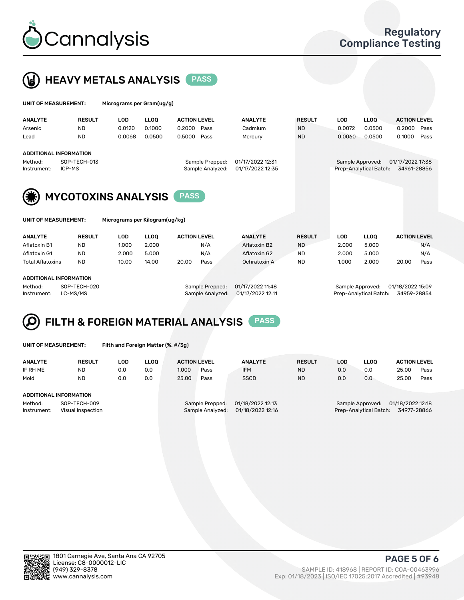



| UNIT OF MEASUREMENT: |               | Micrograms per Gram(ug/g) |             |                     |                |               |     |      |                     |
|----------------------|---------------|---------------------------|-------------|---------------------|----------------|---------------|-----|------|---------------------|
| <b>ANALYTE</b>       | <b>RESULT</b> | LOD                       | <b>LLOO</b> | <b>ACTION LEVEL</b> | <b>ANALYTE</b> | <b>RESULT</b> | LOD | LOO. | <b>ACTION LEVEL</b> |

| Arsenic                                          | <b>ND</b>              | 0.0120 | 0.1000 | 0.2000 | Pass                                | Cadmium                              | <b>ND</b> | 0.0072                                     | 0.0500 | 0.2000                          | Pass |
|--------------------------------------------------|------------------------|--------|--------|--------|-------------------------------------|--------------------------------------|-----------|--------------------------------------------|--------|---------------------------------|------|
| Lead                                             | <b>ND</b>              | 0.0068 | 0.0500 | 0.5000 | Pass                                | Mercury                              | <b>ND</b> | 0.0060                                     | 0.0500 | 0.1000                          | Pass |
| ADDITIONAL INFORMATION<br>Method:<br>Instrument: | SOP-TECH-013<br>ICP-MS |        |        |        | Sample Prepped:<br>Sample Analyzed: | 01/17/2022 12:31<br>01/17/2022 12:35 |           | Sample Approved:<br>Prep-Analytical Batch: |        | 01/17/2022 17:38<br>34961-28856 |      |



|  | UNIT OF MEASUREMENT: |  |
|--|----------------------|--|
|  |                      |  |

Micrograms per Kilogram(ug/kg)

| <b>ANALYTE</b>          | <b>RESULT</b> | LOD   | <b>LLOO</b> | <b>ACTION LEVEL</b> |      | <b>ANALYTE</b> | <b>RESULT</b> | LOD   | <b>LLOO</b> | <b>ACTION LEVEL</b> |      |
|-------------------------|---------------|-------|-------------|---------------------|------|----------------|---------------|-------|-------------|---------------------|------|
| Aflatoxin B1            | <b>ND</b>     | 1.000 | 2.000       |                     | N/A  | Aflatoxin B2   | <b>ND</b>     | 2.000 | 5.000       |                     | N/A  |
| Aflatoxin G1            | <b>ND</b>     | 2.000 | 5.000       |                     | N/A  | Aflatoxin G2   | <b>ND</b>     | 2.000 | 5.000       |                     | N/A  |
| <b>Total Aflatoxins</b> | <b>ND</b>     | 10.00 | 14.00       | 20.00               | Pass | Ochratoxin A   | <b>ND</b>     | 1.000 | 2.000       | 20.00               | Pass |
|                         |               |       |             |                     |      |                |               |       |             |                     |      |

#### ADDITIONAL INFORMATION

Method: SOP-TECH-020 Sample Prepped: 01/17/2022 11:48 Sample Approved: 01/18/2022 15:09 Instrument: LC-MS/MS Sample Analyzed: 01/17/2022 12:11 Prep-Analytical Batch: 34959-28854



UNIT OF MEASUREMENT: Filth and Foreign Matter (%, #/3g)

| <b>ANALYTE</b>                                              | <b>RESULT</b> | LOD | <b>LLOO</b> | <b>ACTION LEVEL</b> |                                     | <b>ANALYTE</b>                       | <b>RESULT</b> | <b>LOD</b> | <b>LLOO</b>                                | <b>ACTION LEVEL</b>             |      |
|-------------------------------------------------------------|---------------|-----|-------------|---------------------|-------------------------------------|--------------------------------------|---------------|------------|--------------------------------------------|---------------------------------|------|
| IF RH ME                                                    | <b>ND</b>     | 0.0 | 0.0         | 1.000               | Pass                                | <b>IFM</b>                           | <b>ND</b>     | 0.0        | 0.0                                        | 25.00                           | Pass |
| Mold                                                        | <b>ND</b>     | 0.0 | 0.0         | 25.00               | Pass                                | <b>SSCD</b>                          | <b>ND</b>     | 0.0        | 0.0                                        | 25.00                           | Pass |
| ADDITIONAL INFORMATION                                      |               |     |             |                     |                                     |                                      |               |            |                                            |                                 |      |
| SOP-TECH-009<br>Method:<br>Instrument:<br>Visual Inspection |               |     |             |                     | Sample Prepped:<br>Sample Analyzed: | 01/18/2022 12:13<br>01/18/2022 12:16 |               |            | Sample Approved:<br>Prep-Analytical Batch: | 01/18/2022 12:18<br>34977-28866 |      |